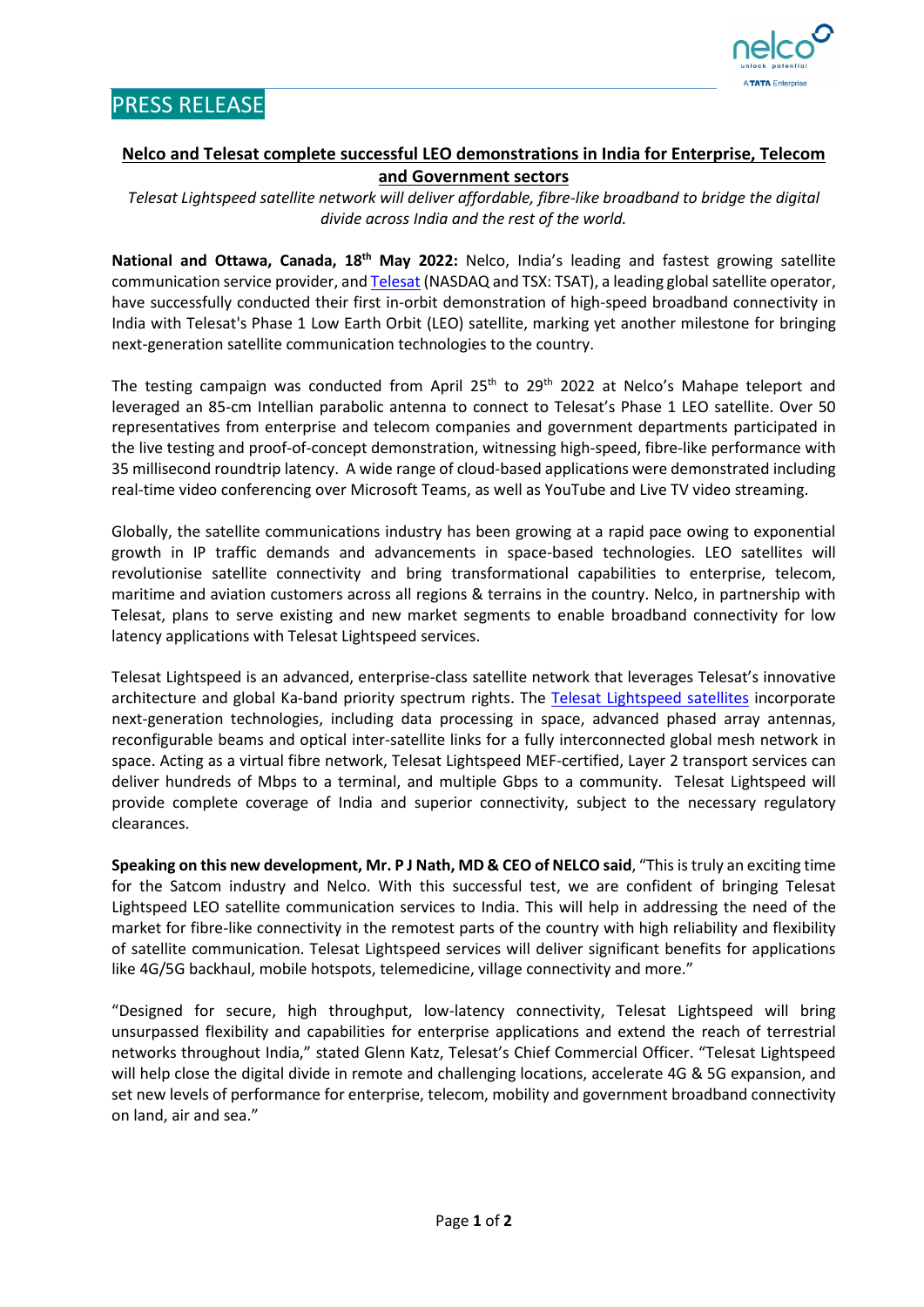

## **Nelco and Telesat complete successful LEO demonstrations in India for Enterprise, Telecom and Government sectors**

*Telesat Lightspeed satellite network will deliver affordable, fibre-like broadband to bridge the digital divide across India and the rest of the world.*

**National and Ottawa, Canada, 18th May 2022:** Nelco, India's leading and fastest growing satellite communication service provider, and [Telesat](https://www.telesat.com/about-us/) (NASDAQ and TSX: TSAT), a leading global satellite operator, have successfully conducted their first in-orbit demonstration of high-speed broadband connectivity in India with Telesat's Phase 1 Low Earth Orbit (LEO) satellite, marking yet another milestone for bringing next-generation satellite communication technologies to the country.

The testing campaign was conducted from April 25<sup>th</sup> to 29<sup>th</sup> 2022 at Nelco's Mahape teleport and leveraged an 85-cm Intellian parabolic antenna to connect to Telesat's Phase 1 LEO satellite. Over 50 representatives from enterprise and telecom companies and government departments participated in the live testing and proof-of-concept demonstration, witnessing high-speed, fibre-like performance with 35 millisecond roundtrip latency. A wide range of cloud-based applications were demonstrated including real-time video conferencing over Microsoft Teams, as well as YouTube and Live TV video streaming.

Globally, the satellite communications industry has been growing at a rapid pace owing to exponential growth in IP traffic demands and advancements in space-based technologies. LEO satellites will revolutionise satellite connectivity and bring transformational capabilities to enterprise, telecom, maritime and aviation customers across all regions & terrains in the country. Nelco, in partnership with Telesat, plans to serve existing and new market segments to enable broadband connectivity for low latency applications with Telesat Lightspeed services.

Telesat Lightspeed is an advanced, enterprise-class satellite network that leverages Telesat's innovative architecture and global Ka-band priority spectrum rights. The [Telesat Lightspeed satellites](https://www.telesat.com/leo-satellites/) incorporate next-generation technologies, including data processing in space, advanced phased array antennas, reconfigurable beams and optical inter-satellite links for a fully interconnected global mesh network in space. Acting as a virtual fibre network, Telesat Lightspeed MEF-certified, Layer 2 transport services can deliver hundreds of Mbps to a terminal, and multiple Gbps to a community. Telesat Lightspeed will provide complete coverage of India and superior connectivity, subject to the necessary regulatory clearances.

**Speaking on this new development, Mr. P J Nath, MD & CEO of NELCO said**, "This is truly an exciting time for the Satcom industry and Nelco. With this successful test, we are confident of bringing Telesat Lightspeed LEO satellite communication services to India. This will help in addressing the need of the market for fibre-like connectivity in the remotest parts of the country with high reliability and flexibility of satellite communication. Telesat Lightspeed services will deliver significant benefits for applications like 4G/5G backhaul, mobile hotspots, telemedicine, village connectivity and more."

"Designed for secure, high throughput, low-latency connectivity, Telesat Lightspeed will bring unsurpassed flexibility and capabilities for enterprise applications and extend the reach of terrestrial networks throughout India," stated Glenn Katz, Telesat's Chief Commercial Officer. "Telesat Lightspeed will help close the digital divide in remote and challenging locations, accelerate 4G & 5G expansion, and set new levels of performance for enterprise, telecom, mobility and government broadband connectivity on land, air and sea."